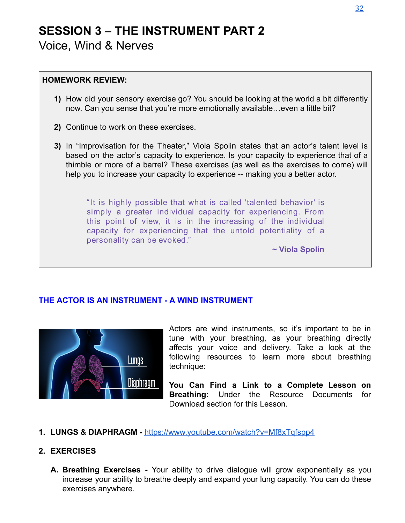# **SESSION 3 – THE INSTRUMENT PART 2** Voice, Wind & Nerves

#### **HOMEWORK REVIEW:**

- **1)** How did your sensory exercise go? You should be looking at the world a bit differently now. Can you sense that you're more emotionally available…even a little bit?
- **2)** Continue to work on these exercises.
- **3)** In "Improvisation for the Theater," Viola Spolin states that an actor's talent level is based on the actor's capacity to experience. Is your capacity to experience that of a thimble or more of a barrel? These exercises (as well as the exercises to come) will help you to increase your capacity to experience -- making you a better actor.

" It is highly possible that what is called 'talented behavior' is simply a greater individual capacity for experiencing. From this point of view, it is in the increasing of the individual capacity for experiencing that the untold potentiality of a personality can be evoked."

**~ Viola Spolin**

#### **THE ACTOR IS AN INSTRUMENT - A WIND INSTRUMENT**



Actors are wind instruments, so it's important to be in tune with your breathing, as your breathing directly affects your voice and delivery. Take a look at the following resources to learn more about breathing technique:

**You Can Find a Link to a Complete Lesson on Breathing:** Under the Resource Documents for Download section for this Lesson.

1. LUNGS & DIAPHRAGM - <https://www.youtube.com/watch?v=Mf8xTqfspp4>

#### **2. EXERCISES**

**A. Breathing Exercises -** Your ability to drive dialogue will grow exponentially as you increase your ability to breathe deeply and expand your lung capacity. You can do these exercises anywhere.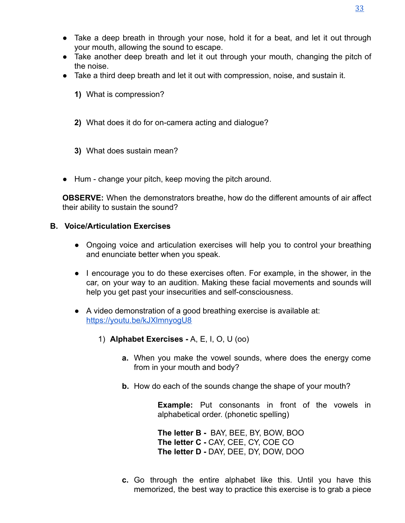- Take a deep breath in through your nose, hold it for a beat, and let it out through your mouth, allowing the sound to escape.
- Take another deep breath and let it out through your mouth, changing the pitch of the noise.
- Take a third deep breath and let it out with compression, noise, and sustain it.
	- **1)** What is compression?
	- **2)** What does it do for on-camera acting and dialogue?
	- **3)** What does sustain mean?
- Hum change your pitch, keep moving the pitch around.

**OBSERVE:** When the demonstrators breathe, how do the different amounts of air affect their ability to sustain the sound?

#### **B. Voice/Articulation Exercises**

- Ongoing voice and articulation exercises will help you to control your breathing and enunciate better when you speak.
- I encourage you to do these exercises often. For example, in the shower, in the car, on your way to an audition. Making these facial movements and sounds will help you get past your insecurities and self-consciousness.
- A video demonstration of a good breathing exercise is available at: <https://youtu.be/kJXlmnyogU8>
	- **1) Alphabet Exercises A, E, I, O, U (00)** 
		- **a.** When you make the vowel sounds, where does the energy come from in your mouth and body?
		- **b.** How do each of the sounds change the shape of your mouth?

**Example:** Put consonants in front of the vowels in alphabetical order. (phonetic spelling)

**The letter B - BAY, BEE, BY, BOW, BOO The letter C - CAY, CEE, CY, COE CO The letter D - DAY, DEE, DY, DOW, DOO** 

**c.** Go through the entire alphabet like this. Until you have this memorized, the best way to practice this exercise is to grab a piece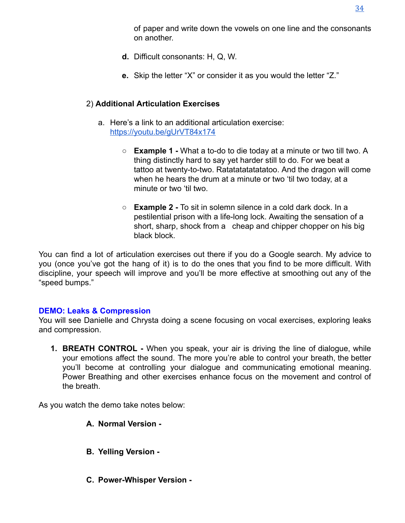- **d.** Difficult consonants: H, Q, W.
- **e.** Skip the letter "X" or consider it as you would the letter "Z."

# 2) **Additional Articulation Exercises**

- a. Here's a link to an additional articulation exercise: <https://youtu.be/gUrVT84x174>
	- **Example 1** What a to-do to die today at a minute or two till two. A thing distinctly hard to say yet harder still to do. For we beat a tattoo at twenty-to-two. Ratatatatatatatoo. And the dragon will come when he hears the drum at a minute or two 'til two today, at a minute or two 'til two.
	- $\circ$  **Example 2** To sit in solemn silence in a cold dark dock. In a pestilential prison with a life-long lock. Awaiting the sensation of a short, sharp, shock from a cheap and chipper chopper on his big black block.

You can find a lot of articulation exercises out there if you do a Google search. My advice to you (once you've got the hang of it) is to do the ones that you find to be more difficult. With discipline, your speech will improve and you'll be more effective at smoothing out any of the "speed bumps."

## **DEMO: Leaks & Compression**

You will see Danielle and Chrysta doing a scene focusing on vocal exercises, exploring leaks and compression.

**1. BREATH CONTROL -** When you speak, your air is driving the line of dialogue, while your emotions affect the sound. The more you're able to control your breath, the better you'll become at controlling your dialogue and communicating emotional meaning. Power Breathing and other exercises enhance focus on the movement and control of the breath.

As you watch the demo take notes below:

- **A. Normal Version -**
- **B. Yelling Version -**
- **C. Power-Whisper Version -**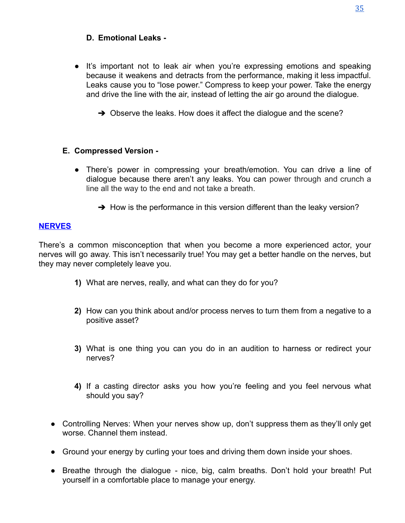## **D. Emotional Leaks -**

- It's important not to leak air when you're expressing emotions and speaking because it weakens and detracts from the performance, making it less impactful. Leaks cause you to "lose power." Compress to keep your power. Take the energy and drive the line with the air, instead of letting the air go around the dialogue.
	- $\rightarrow$  Observe the leaks. How does it affect the dialogue and the scene?

### **E. Compressed Version -**

- There's power in compressing your breath/emotion. You can drive a line of dialogue because there aren't any leaks. You can power through and crunch a line all the way to the end and not take a breath.
	- $\rightarrow$  How is the performance in this version different than the leaky version?

## **NERVES**

There's a common misconception that when you become a more experienced actor, your nerves will go away. This isn't necessarily true! You may get a better handle on the nerves, but they may never completely leave you.

- **1)** What are nerves, really, and what can they do for you?
- **2)** How can you think about and/or process nerves to turn them from a negative to a positive asset?
- **3)** What is one thing you can you do in an audition to harness or redirect your nerves?
- **4)** If a casting director asks you how you're feeling and you feel nervous what should you say?
- Controlling Nerves: When your nerves show up, don't suppress them as they'll only get worse. Channel them instead.
- Ground your energy by curling your toes and driving them down inside your shoes.
- **●** Breathe through the dialogue nice, big, calm breaths. Don't hold your breath! Put yourself in a comfortable place to manage your energy.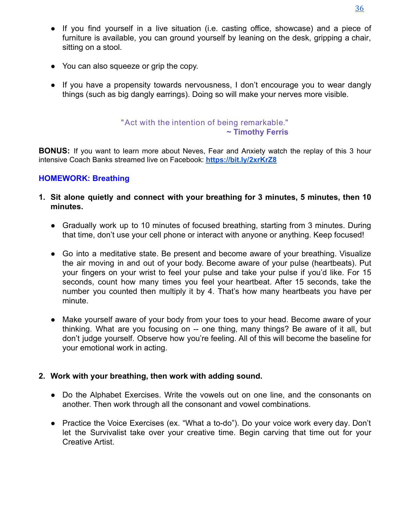- **●** If you find yourself in a live situation (i.e. casting office, showcase) and a piece of furniture is available, you can ground yourself by leaning on the desk, gripping a chair, sitting on a stool.
- You can also squeeze or grip the copy.
- **●** If you have a propensity towards nervousness, I don't encourage you to wear dangly things (such as big dangly earrings). Doing so will make your nerves more visible.

## "Act with the intention of being remarkable." **~ Timothy Ferris**

**BONUS:** If you want to learn more about Neves, Fear and Anxiety watch the replay of this 3 hour intensive Coach Banks streamed live on Facebook: **<https://bit.ly/2xrKrZ8>**

### **HOMEWORK: Breathing**

- **1. Sit alone quietly and connect with your breathing for 3 minutes, 5 minutes, then 10 minutes.**
	- Gradually work up to 10 minutes of focused breathing, starting from 3 minutes. During that time, don't use your cell phone or interact with anyone or anything. Keep focused!
	- Go into a meditative state. Be present and become aware of your breathing. Visualize the air moving in and out of your body. Become aware of your pulse (heartbeats). Put your fingers on your wrist to feel your pulse and take your pulse if you'd like. For 15 seconds, count how many times you feel your heartbeat. After 15 seconds, take the number you counted then multiply it by 4. That's how many heartbeats you have per minute.
	- Make yourself aware of your body from your toes to your head. Become aware of your thinking. What are you focusing on -- one thing, many things? Be aware of it all, but don't judge yourself. Observe how you're feeling. All of this will become the baseline for your emotional work in acting.

### **2.** Work with your breathing, then work with adding sound.

- Do the Alphabet Exercises. Write the vowels out on one line, and the consonants on another. Then work through all the consonant and vowel combinations.
- Practice the Voice Exercises (ex. "What a to-do"). Do your voice work every day. Don't let the Survivalist take over your creative time. Begin carving that time out for your Creative Artist.